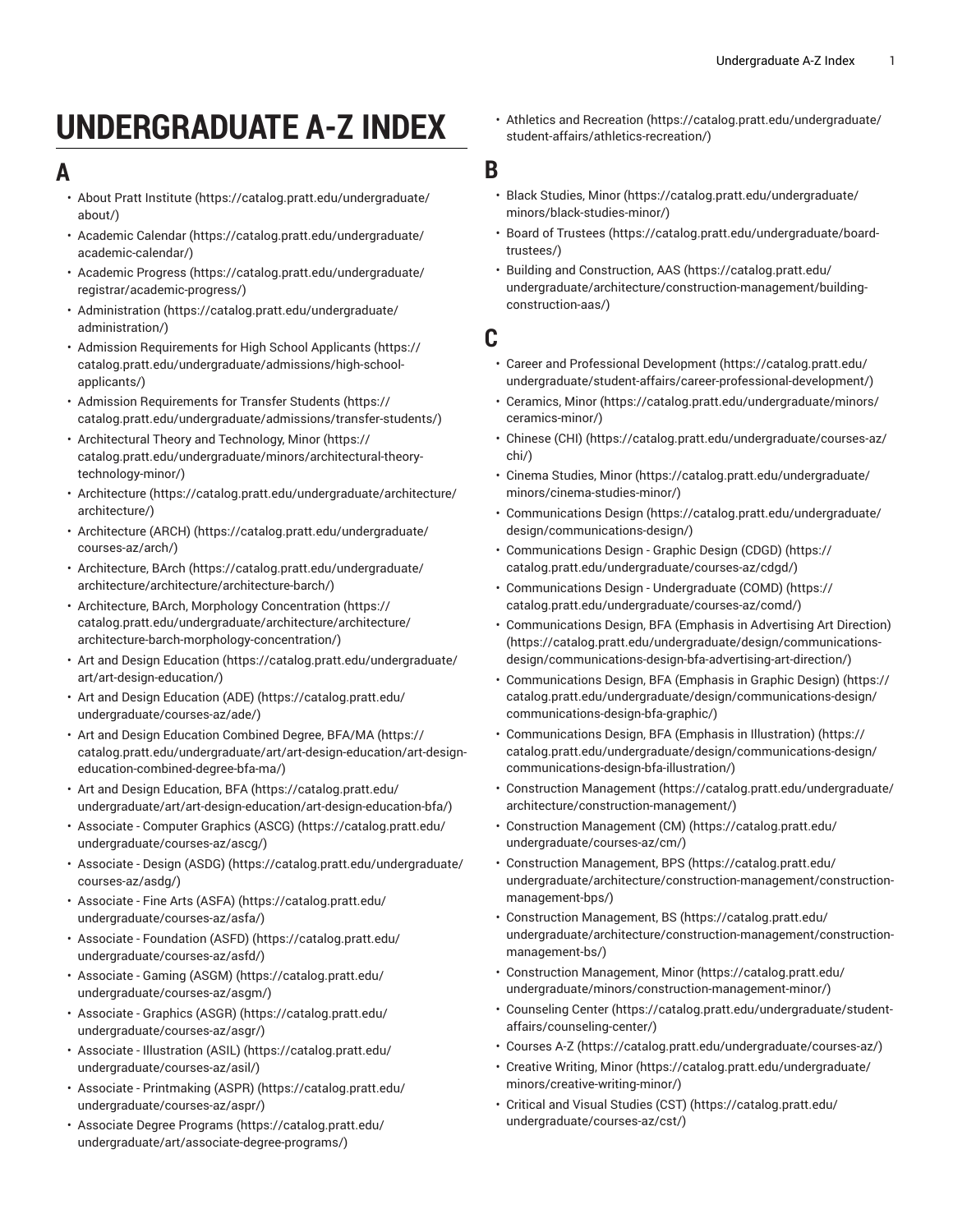# **UNDERGRADUATE A-Z INDEX**

## <span id="page-0-0"></span>**A**

- [About Pratt Institute](https://catalog.pratt.edu/undergraduate/about/) ([https://catalog.pratt.edu/undergraduate/](https://catalog.pratt.edu/undergraduate/about/) [about/](https://catalog.pratt.edu/undergraduate/about/))
- [Academic Calendar \(https://catalog.pratt.edu/undergraduate/](https://catalog.pratt.edu/undergraduate/academic-calendar/) [academic-calendar/\)](https://catalog.pratt.edu/undergraduate/academic-calendar/)
- [Academic](https://catalog.pratt.edu/undergraduate/registrar/academic-progress/) Progress ([https://catalog.pratt.edu/undergraduate/](https://catalog.pratt.edu/undergraduate/registrar/academic-progress/) [registrar/academic-progress/\)](https://catalog.pratt.edu/undergraduate/registrar/academic-progress/)
- [Administration](https://catalog.pratt.edu/undergraduate/administration/) ([https://catalog.pratt.edu/undergraduate/](https://catalog.pratt.edu/undergraduate/administration/) [administration/\)](https://catalog.pratt.edu/undergraduate/administration/)
- Admission [Requirements](https://catalog.pratt.edu/undergraduate/admissions/high-school-applicants/) for High School Applicants [\(https://](https://catalog.pratt.edu/undergraduate/admissions/high-school-applicants/) [catalog.pratt.edu/undergraduate/admissions/high-school](https://catalog.pratt.edu/undergraduate/admissions/high-school-applicants/)[applicants/\)](https://catalog.pratt.edu/undergraduate/admissions/high-school-applicants/)
- Admission [Requirements](https://catalog.pratt.edu/undergraduate/admissions/transfer-students/) for Transfer Students [\(https://](https://catalog.pratt.edu/undergraduate/admissions/transfer-students/) [catalog.pratt.edu/undergraduate/admissions/transfer-students/](https://catalog.pratt.edu/undergraduate/admissions/transfer-students/))
- [Architectural](https://catalog.pratt.edu/undergraduate/minors/architectural-theory-technology-minor/) Theory and Technology, Minor [\(https://](https://catalog.pratt.edu/undergraduate/minors/architectural-theory-technology-minor/) [catalog.pratt.edu/undergraduate/minors/architectural-theory](https://catalog.pratt.edu/undergraduate/minors/architectural-theory-technology-minor/)[technology-minor/](https://catalog.pratt.edu/undergraduate/minors/architectural-theory-technology-minor/))
- [Architecture](https://catalog.pratt.edu/undergraduate/architecture/architecture/) ([https://catalog.pratt.edu/undergraduate/architecture/](https://catalog.pratt.edu/undergraduate/architecture/architecture/) [architecture/\)](https://catalog.pratt.edu/undergraduate/architecture/architecture/)
- [Architecture](https://catalog.pratt.edu/undergraduate/courses-az/arch/) (ARCH) [\(https://catalog.pratt.edu/undergraduate/](https://catalog.pratt.edu/undergraduate/courses-az/arch/) [courses-az/arch/\)](https://catalog.pratt.edu/undergraduate/courses-az/arch/)
- [Architecture,](https://catalog.pratt.edu/undergraduate/architecture/architecture/architecture-barch/) BArch ([https://catalog.pratt.edu/undergraduate/](https://catalog.pratt.edu/undergraduate/architecture/architecture/architecture-barch/) [architecture/architecture/architecture-barch/](https://catalog.pratt.edu/undergraduate/architecture/architecture/architecture-barch/))
- Architecture, BArch, Morphology [Concentration \(https://](https://catalog.pratt.edu/undergraduate/architecture/architecture/architecture-barch-morphology-concentration/) [catalog.pratt.edu/undergraduate/architecture/architecture/](https://catalog.pratt.edu/undergraduate/architecture/architecture/architecture-barch-morphology-concentration/) [architecture-barch-morphology-concentration/\)](https://catalog.pratt.edu/undergraduate/architecture/architecture/architecture-barch-morphology-concentration/)
- Art and Design [Education](https://catalog.pratt.edu/undergraduate/art/art-design-education/) ([https://catalog.pratt.edu/undergraduate/](https://catalog.pratt.edu/undergraduate/art/art-design-education/) [art/art-design-education/\)](https://catalog.pratt.edu/undergraduate/art/art-design-education/)
- Art and Design [Education](https://catalog.pratt.edu/undergraduate/courses-az/ade/) (ADE) [\(https://catalog.pratt.edu/](https://catalog.pratt.edu/undergraduate/courses-az/ade/) [undergraduate/courses-az/ade/](https://catalog.pratt.edu/undergraduate/courses-az/ade/))
- Art and Design Education [Combined](https://catalog.pratt.edu/undergraduate/art/art-design-education/art-design-education-combined-degree-bfa-ma/) Degree, BFA/MA [\(https://](https://catalog.pratt.edu/undergraduate/art/art-design-education/art-design-education-combined-degree-bfa-ma/) [catalog.pratt.edu/undergraduate/art/art-design-education/art-design](https://catalog.pratt.edu/undergraduate/art/art-design-education/art-design-education-combined-degree-bfa-ma/)[education-combined-degree-bfa-ma/](https://catalog.pratt.edu/undergraduate/art/art-design-education/art-design-education-combined-degree-bfa-ma/))
- Art and Design [Education,](https://catalog.pratt.edu/undergraduate/art/art-design-education/art-design-education-bfa/) BFA [\(https://catalog.pratt.edu/](https://catalog.pratt.edu/undergraduate/art/art-design-education/art-design-education-bfa/) [undergraduate/art/art-design-education/art-design-education-bfa/](https://catalog.pratt.edu/undergraduate/art/art-design-education/art-design-education-bfa/))
- [Associate Computer Graphics \(ASCG\)](https://catalog.pratt.edu/undergraduate/courses-az/ascg/) ([https://catalog.pratt.edu/](https://catalog.pratt.edu/undergraduate/courses-az/ascg/) [undergraduate/courses-az/ascg/](https://catalog.pratt.edu/undergraduate/courses-az/ascg/))
- [Associate Design \(ASDG\) \(https://catalog.pratt.edu/undergraduate/](https://catalog.pratt.edu/undergraduate/courses-az/asdg/) [courses-az/asdg/\)](https://catalog.pratt.edu/undergraduate/courses-az/asdg/)
- [Associate](https://catalog.pratt.edu/undergraduate/courses-az/asfa/) Fine Arts (ASFA) ([https://catalog.pratt.edu/](https://catalog.pratt.edu/undergraduate/courses-az/asfa/) [undergraduate/courses-az/asfa/\)](https://catalog.pratt.edu/undergraduate/courses-az/asfa/)
- Associate [Foundation](https://catalog.pratt.edu/undergraduate/courses-az/asfd/) (ASFD) ([https://catalog.pratt.edu/](https://catalog.pratt.edu/undergraduate/courses-az/asfd/) [undergraduate/courses-az/asfd/\)](https://catalog.pratt.edu/undergraduate/courses-az/asfd/)
- [Associate Gaming \(ASGM\) \(https://catalog.pratt.edu/](https://catalog.pratt.edu/undergraduate/courses-az/asgm/) [undergraduate/courses-az/asgm/\)](https://catalog.pratt.edu/undergraduate/courses-az/asgm/)
- [Associate Graphics \(ASGR\)](https://catalog.pratt.edu/undergraduate/courses-az/asgr/) ([https://catalog.pratt.edu/](https://catalog.pratt.edu/undergraduate/courses-az/asgr/) [undergraduate/courses-az/asgr/\)](https://catalog.pratt.edu/undergraduate/courses-az/asgr/)
- [Associate Illustration \(ASIL\) \(https://catalog.pratt.edu/](https://catalog.pratt.edu/undergraduate/courses-az/asil/) [undergraduate/courses-az/asil/](https://catalog.pratt.edu/undergraduate/courses-az/asil/))
- [Associate Printmaking \(ASPR\)](https://catalog.pratt.edu/undergraduate/courses-az/aspr/) [\(https://catalog.pratt.edu/](https://catalog.pratt.edu/undergraduate/courses-az/aspr/) [undergraduate/courses-az/aspr/\)](https://catalog.pratt.edu/undergraduate/courses-az/aspr/)
- [Associate](https://catalog.pratt.edu/undergraduate/art/associate-degree-programs/) Degree Programs ([https://catalog.pratt.edu/](https://catalog.pratt.edu/undergraduate/art/associate-degree-programs/) [undergraduate/art/associate-degree-programs/\)](https://catalog.pratt.edu/undergraduate/art/associate-degree-programs/)

• Athletics and [Recreation \(https://catalog.pratt.edu/undergraduate/](https://catalog.pratt.edu/undergraduate/student-affairs/athletics-recreation/) [student-affairs/athletics-recreation/\)](https://catalog.pratt.edu/undergraduate/student-affairs/athletics-recreation/)

#### **B**

- [Black Studies, Minor](https://catalog.pratt.edu/undergraduate/minors/black-studies-minor/) ([https://catalog.pratt.edu/undergraduate/](https://catalog.pratt.edu/undergraduate/minors/black-studies-minor/) [minors/black-studies-minor/\)](https://catalog.pratt.edu/undergraduate/minors/black-studies-minor/)
- Board of [Trustees](https://catalog.pratt.edu/undergraduate/board-trustees/) ([https://catalog.pratt.edu/undergraduate/board](https://catalog.pratt.edu/undergraduate/board-trustees/)[trustees/](https://catalog.pratt.edu/undergraduate/board-trustees/))
- [Building and Construction, AAS \(https://catalog.pratt.edu/](https://catalog.pratt.edu/undergraduate/architecture/construction-management/building-construction-aas/) [undergraduate/architecture/construction-management/building](https://catalog.pratt.edu/undergraduate/architecture/construction-management/building-construction-aas/)[construction-aas/\)](https://catalog.pratt.edu/undergraduate/architecture/construction-management/building-construction-aas/)

### **C**

- Career and Professional [Development](https://catalog.pratt.edu/undergraduate/student-affairs/career-professional-development/) [\(https://catalog.pratt.edu/](https://catalog.pratt.edu/undergraduate/student-affairs/career-professional-development/) [undergraduate/student-affairs/career-professional-development/\)](https://catalog.pratt.edu/undergraduate/student-affairs/career-professional-development/)
- [Ceramics, Minor \(https://catalog.pratt.edu/undergraduate/minors/](https://catalog.pratt.edu/undergraduate/minors/ceramics-minor/) [ceramics-minor/\)](https://catalog.pratt.edu/undergraduate/minors/ceramics-minor/)
- [Chinese \(CHI\) \(https://catalog.pratt.edu/undergraduate/courses-az/](https://catalog.pratt.edu/undergraduate/courses-az/chi/) [chi/\)](https://catalog.pratt.edu/undergraduate/courses-az/chi/)
- [Cinema Studies, Minor](https://catalog.pratt.edu/undergraduate/minors/cinema-studies-minor/) ([https://catalog.pratt.edu/undergraduate/](https://catalog.pratt.edu/undergraduate/minors/cinema-studies-minor/) [minors/cinema-studies-minor/](https://catalog.pratt.edu/undergraduate/minors/cinema-studies-minor/))
- [Communications Design](https://catalog.pratt.edu/undergraduate/design/communications-design/) [\(https://catalog.pratt.edu/undergraduate/](https://catalog.pratt.edu/undergraduate/design/communications-design/) [design/communications-design/\)](https://catalog.pratt.edu/undergraduate/design/communications-design/)
- [Communications Design Graphic Design \(CDGD\) \(https://](https://catalog.pratt.edu/undergraduate/courses-az/cdgd/) [catalog.pratt.edu/undergraduate/courses-az/cdgd/](https://catalog.pratt.edu/undergraduate/courses-az/cdgd/))
- [Communications](https://catalog.pratt.edu/undergraduate/courses-az/comd/) Design Undergraduate (COMD) ([https://](https://catalog.pratt.edu/undergraduate/courses-az/comd/) [catalog.pratt.edu/undergraduate/courses-az/comd/\)](https://catalog.pratt.edu/undergraduate/courses-az/comd/)
- [Communications](https://catalog.pratt.edu/undergraduate/design/communications-design/communications-design-bfa-advertising-art-direction/) Design, BFA (Emphasis in Advertising Art Direction) [\(https://catalog.pratt.edu/undergraduate/design/communications](https://catalog.pratt.edu/undergraduate/design/communications-design/communications-design-bfa-advertising-art-direction/)[design/communications-design-bfa-advertising-art-direction/\)](https://catalog.pratt.edu/undergraduate/design/communications-design/communications-design-bfa-advertising-art-direction/)
- [Communications](https://catalog.pratt.edu/undergraduate/design/communications-design/communications-design-bfa-graphic/) Design, BFA (Emphasis in Graphic Design) [\(https://](https://catalog.pratt.edu/undergraduate/design/communications-design/communications-design-bfa-graphic/) [catalog.pratt.edu/undergraduate/design/communications-design/](https://catalog.pratt.edu/undergraduate/design/communications-design/communications-design-bfa-graphic/) [communications-design-bfa-graphic/\)](https://catalog.pratt.edu/undergraduate/design/communications-design/communications-design-bfa-graphic/)
- [Communications](https://catalog.pratt.edu/undergraduate/design/communications-design/communications-design-bfa-illustration/) Design, BFA (Emphasis in Illustration) [\(https://](https://catalog.pratt.edu/undergraduate/design/communications-design/communications-design-bfa-illustration/) [catalog.pratt.edu/undergraduate/design/communications-design/](https://catalog.pratt.edu/undergraduate/design/communications-design/communications-design-bfa-illustration/) [communications-design-bfa-illustration/](https://catalog.pratt.edu/undergraduate/design/communications-design/communications-design-bfa-illustration/))
- [Construction Management](https://catalog.pratt.edu/undergraduate/architecture/construction-management/) [\(https://catalog.pratt.edu/undergraduate/](https://catalog.pratt.edu/undergraduate/architecture/construction-management/) [architecture/construction-management/\)](https://catalog.pratt.edu/undergraduate/architecture/construction-management/)
- [Construction Management \(CM\)](https://catalog.pratt.edu/undergraduate/courses-az/cm/) ([https://catalog.pratt.edu/](https://catalog.pratt.edu/undergraduate/courses-az/cm/) [undergraduate/courses-az/cm/](https://catalog.pratt.edu/undergraduate/courses-az/cm/))
- [Construction Management, BPS](https://catalog.pratt.edu/undergraduate/architecture/construction-management/construction-management-bps/) ([https://catalog.pratt.edu/](https://catalog.pratt.edu/undergraduate/architecture/construction-management/construction-management-bps/) [undergraduate/architecture/construction-management/construction](https://catalog.pratt.edu/undergraduate/architecture/construction-management/construction-management-bps/)[management-bps/\)](https://catalog.pratt.edu/undergraduate/architecture/construction-management/construction-management-bps/)
- [Construction Management, BS](https://catalog.pratt.edu/undergraduate/architecture/construction-management/construction-management-bs/) ([https://catalog.pratt.edu/](https://catalog.pratt.edu/undergraduate/architecture/construction-management/construction-management-bs/) [undergraduate/architecture/construction-management/construction](https://catalog.pratt.edu/undergraduate/architecture/construction-management/construction-management-bs/)[management-bs/](https://catalog.pratt.edu/undergraduate/architecture/construction-management/construction-management-bs/))
- [Construction Management, Minor](https://catalog.pratt.edu/undergraduate/minors/construction-management-minor/) ([https://catalog.pratt.edu/](https://catalog.pratt.edu/undergraduate/minors/construction-management-minor/) [undergraduate/minors/construction-management-minor/](https://catalog.pratt.edu/undergraduate/minors/construction-management-minor/))
- [Counseling Center](https://catalog.pratt.edu/undergraduate/student-affairs/counseling-center/) ([https://catalog.pratt.edu/undergraduate/student](https://catalog.pratt.edu/undergraduate/student-affairs/counseling-center/)[affairs/counseling-center/\)](https://catalog.pratt.edu/undergraduate/student-affairs/counseling-center/)
- [Courses A-Z](https://catalog.pratt.edu/undergraduate/courses-az/) ([https://catalog.pratt.edu/undergraduate/courses-az/\)](https://catalog.pratt.edu/undergraduate/courses-az/)
- [Creative](https://catalog.pratt.edu/undergraduate/minors/creative-writing-minor/) Writing, Minor [\(https://catalog.pratt.edu/undergraduate/](https://catalog.pratt.edu/undergraduate/minors/creative-writing-minor/) [minors/creative-writing-minor/](https://catalog.pratt.edu/undergraduate/minors/creative-writing-minor/))
- [Critical and Visual Studies \(CST\) \(https://catalog.pratt.edu/](https://catalog.pratt.edu/undergraduate/courses-az/cst/) [undergraduate/courses-az/cst/](https://catalog.pratt.edu/undergraduate/courses-az/cst/))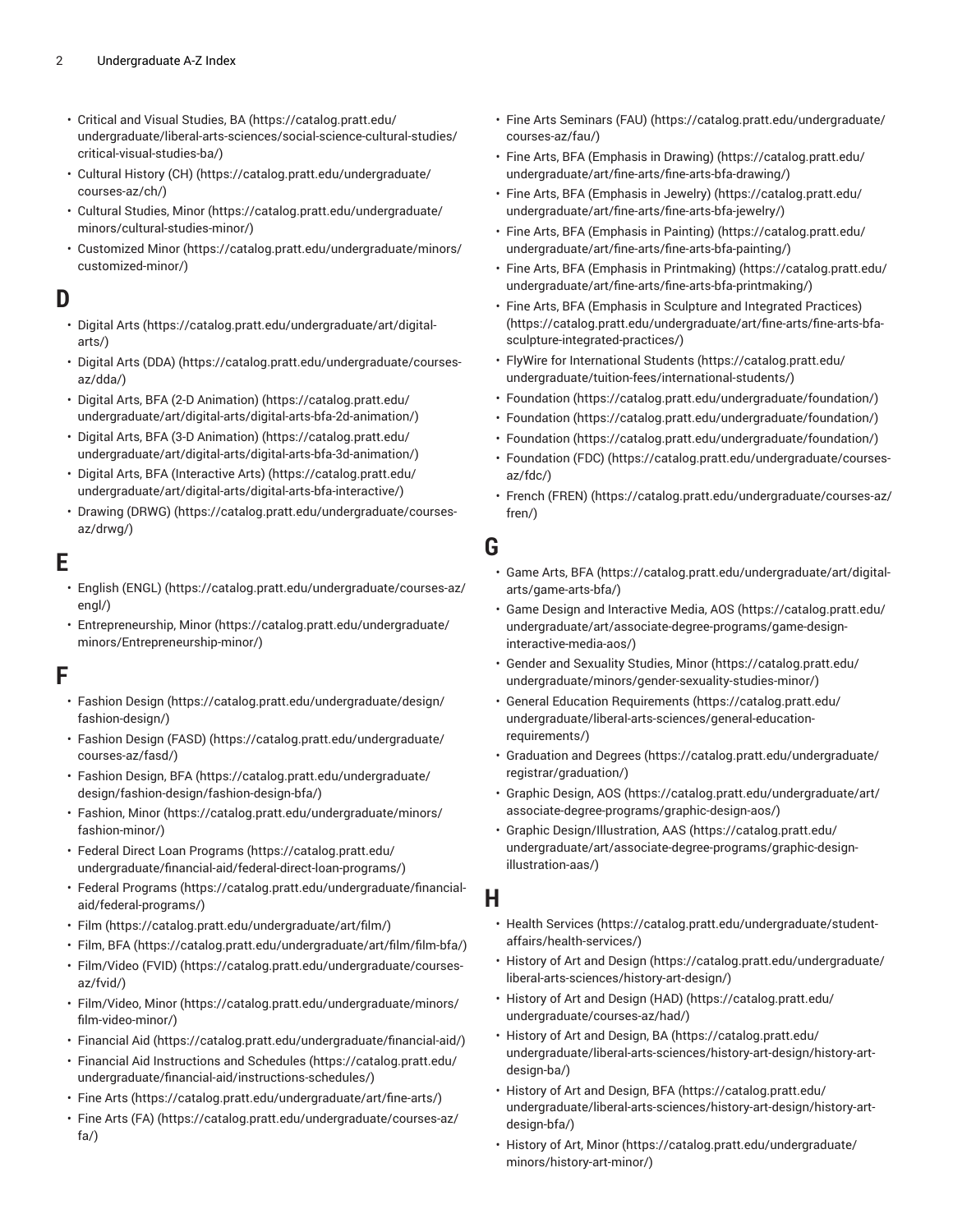- [Critical and Visual Studies, BA](https://catalog.pratt.edu/undergraduate/liberal-arts-sciences/social-science-cultural-studies/critical-visual-studies-ba/) ([https://catalog.pratt.edu/](https://catalog.pratt.edu/undergraduate/liberal-arts-sciences/social-science-cultural-studies/critical-visual-studies-ba/) [undergraduate/liberal-arts-sciences/social-science-cultural-studies/](https://catalog.pratt.edu/undergraduate/liberal-arts-sciences/social-science-cultural-studies/critical-visual-studies-ba/) [critical-visual-studies-ba/\)](https://catalog.pratt.edu/undergraduate/liberal-arts-sciences/social-science-cultural-studies/critical-visual-studies-ba/)
- [Cultural](https://catalog.pratt.edu/undergraduate/courses-az/ch/) History (CH) ([https://catalog.pratt.edu/undergraduate/](https://catalog.pratt.edu/undergraduate/courses-az/ch/) [courses-az/ch/\)](https://catalog.pratt.edu/undergraduate/courses-az/ch/)
- [Cultural Studies, Minor \(https://catalog.pratt.edu/undergraduate/](https://catalog.pratt.edu/undergraduate/minors/cultural-studies-minor/) [minors/cultural-studies-minor/](https://catalog.pratt.edu/undergraduate/minors/cultural-studies-minor/))
- [Customized](https://catalog.pratt.edu/undergraduate/minors/customized-minor/) Minor [\(https://catalog.pratt.edu/undergraduate/minors/](https://catalog.pratt.edu/undergraduate/minors/customized-minor/) [customized-minor/](https://catalog.pratt.edu/undergraduate/minors/customized-minor/))

### **D**

- [Digital](https://catalog.pratt.edu/undergraduate/art/digital-arts/) Arts ([https://catalog.pratt.edu/undergraduate/art/digital](https://catalog.pratt.edu/undergraduate/art/digital-arts/)[arts/](https://catalog.pratt.edu/undergraduate/art/digital-arts/))
- [Digital](https://catalog.pratt.edu/undergraduate/courses-az/dda/) Arts (DDA) [\(https://catalog.pratt.edu/undergraduate/courses](https://catalog.pratt.edu/undergraduate/courses-az/dda/)[az/dda/\)](https://catalog.pratt.edu/undergraduate/courses-az/dda/)
- Digital Arts, BFA (2-D [Animation\)](https://catalog.pratt.edu/undergraduate/art/digital-arts/digital-arts-bfa-2d-animation/) ([https://catalog.pratt.edu/](https://catalog.pratt.edu/undergraduate/art/digital-arts/digital-arts-bfa-2d-animation/) [undergraduate/art/digital-arts/digital-arts-bfa-2d-animation/\)](https://catalog.pratt.edu/undergraduate/art/digital-arts/digital-arts-bfa-2d-animation/)
- Digital Arts, BFA (3-D [Animation\)](https://catalog.pratt.edu/undergraduate/art/digital-arts/digital-arts-bfa-3d-animation/) ([https://catalog.pratt.edu/](https://catalog.pratt.edu/undergraduate/art/digital-arts/digital-arts-bfa-3d-animation/) [undergraduate/art/digital-arts/digital-arts-bfa-3d-animation/\)](https://catalog.pratt.edu/undergraduate/art/digital-arts/digital-arts-bfa-3d-animation/)
- Digital Arts, BFA [\(Interactive](https://catalog.pratt.edu/undergraduate/art/digital-arts/digital-arts-bfa-interactive/) Arts) [\(https://catalog.pratt.edu/](https://catalog.pratt.edu/undergraduate/art/digital-arts/digital-arts-bfa-interactive/) [undergraduate/art/digital-arts/digital-arts-bfa-interactive/\)](https://catalog.pratt.edu/undergraduate/art/digital-arts/digital-arts-bfa-interactive/)
- [Drawing \(DRWG\)](https://catalog.pratt.edu/undergraduate/courses-az/drwg/) ([https://catalog.pratt.edu/undergraduate/courses](https://catalog.pratt.edu/undergraduate/courses-az/drwg/)[az/drwg/\)](https://catalog.pratt.edu/undergraduate/courses-az/drwg/)

## **E**

- [English \(ENGL\)](https://catalog.pratt.edu/undergraduate/courses-az/engl/) ([https://catalog.pratt.edu/undergraduate/courses-az/](https://catalog.pratt.edu/undergraduate/courses-az/engl/) [engl/\)](https://catalog.pratt.edu/undergraduate/courses-az/engl/)
- [Entrepreneurship,](https://catalog.pratt.edu/undergraduate/minors/Entrepreneurship-minor/) Minor ([https://catalog.pratt.edu/undergraduate/](https://catalog.pratt.edu/undergraduate/minors/Entrepreneurship-minor/) [minors/Entrepreneurship-minor/](https://catalog.pratt.edu/undergraduate/minors/Entrepreneurship-minor/))

# **F**

- [Fashion](https://catalog.pratt.edu/undergraduate/design/fashion-design/) Design [\(https://catalog.pratt.edu/undergraduate/design/](https://catalog.pratt.edu/undergraduate/design/fashion-design/) [fashion-design/\)](https://catalog.pratt.edu/undergraduate/design/fashion-design/)
- [Fashion](https://catalog.pratt.edu/undergraduate/courses-az/fasd/) Design (FASD) [\(https://catalog.pratt.edu/undergraduate/](https://catalog.pratt.edu/undergraduate/courses-az/fasd/) [courses-az/fasd/\)](https://catalog.pratt.edu/undergraduate/courses-az/fasd/)
- [Fashion](https://catalog.pratt.edu/undergraduate/design/fashion-design/fashion-design-bfa/) Design, BFA [\(https://catalog.pratt.edu/undergraduate/](https://catalog.pratt.edu/undergraduate/design/fashion-design/fashion-design-bfa/) [design/fashion-design/fashion-design-bfa/](https://catalog.pratt.edu/undergraduate/design/fashion-design/fashion-design-bfa/))
- [Fashion,](https://catalog.pratt.edu/undergraduate/minors/fashion-minor/) Minor ([https://catalog.pratt.edu/undergraduate/minors/](https://catalog.pratt.edu/undergraduate/minors/fashion-minor/) [fashion-minor/](https://catalog.pratt.edu/undergraduate/minors/fashion-minor/))
- Federal Direct Loan [Programs \(https://catalog.pratt.edu/](https://catalog.pratt.edu/undergraduate/financial-aid/federal-direct-loan-programs/) [undergraduate/financial-aid/federal-direct-loan-programs/](https://catalog.pratt.edu/undergraduate/financial-aid/federal-direct-loan-programs/))
- Federal [Programs \(https://catalog.pratt.edu/undergraduate/financial](https://catalog.pratt.edu/undergraduate/financial-aid/federal-programs/)[aid/federal-programs/](https://catalog.pratt.edu/undergraduate/financial-aid/federal-programs/))
- [Film \(https://catalog.pratt.edu/undergraduate/art/film/\)](https://catalog.pratt.edu/undergraduate/art/film/)
- [Film,](https://catalog.pratt.edu/undergraduate/art/film/film-bfa/) BFA ([https://catalog.pratt.edu/undergraduate/art/film/film-bfa/\)](https://catalog.pratt.edu/undergraduate/art/film/film-bfa/)
- [Film/Video \(FVID\)](https://catalog.pratt.edu/undergraduate/courses-az/fvid/) ([https://catalog.pratt.edu/undergraduate/courses](https://catalog.pratt.edu/undergraduate/courses-az/fvid/)[az/fvid/](https://catalog.pratt.edu/undergraduate/courses-az/fvid/))
- [Film/Video, Minor \(https://catalog.pratt.edu/undergraduate/minors/](https://catalog.pratt.edu/undergraduate/minors/film-video-minor/) [film-video-minor/](https://catalog.pratt.edu/undergraduate/minors/film-video-minor/))
- [Financial Aid \(https://catalog.pratt.edu/undergraduate/financial-aid/\)](https://catalog.pratt.edu/undergraduate/financial-aid/)
- [Financial Aid Instructions and Schedules \(https://catalog.pratt.edu/](https://catalog.pratt.edu/undergraduate/financial-aid/instructions-schedules/) [undergraduate/financial-aid/instructions-schedules/](https://catalog.pratt.edu/undergraduate/financial-aid/instructions-schedules/))
- [Fine](https://catalog.pratt.edu/undergraduate/art/fine-arts/) Arts (<https://catalog.pratt.edu/undergraduate/art/fine-arts/>)
- [Fine](https://catalog.pratt.edu/undergraduate/courses-az/fa/) Arts (FA) ([https://catalog.pratt.edu/undergraduate/courses-az/](https://catalog.pratt.edu/undergraduate/courses-az/fa/) [fa/](https://catalog.pratt.edu/undergraduate/courses-az/fa/))
- Fine Arts [Seminars](https://catalog.pratt.edu/undergraduate/courses-az/fau/) (FAU) ([https://catalog.pratt.edu/undergraduate/](https://catalog.pratt.edu/undergraduate/courses-az/fau/) [courses-az/fau/\)](https://catalog.pratt.edu/undergraduate/courses-az/fau/)
- Fine Arts, BFA [\(Emphasis](https://catalog.pratt.edu/undergraduate/art/fine-arts/fine-arts-bfa-drawing/) in Drawing) ([https://catalog.pratt.edu/](https://catalog.pratt.edu/undergraduate/art/fine-arts/fine-arts-bfa-drawing/) [undergraduate/art/fine-arts/fine-arts-bfa-drawing/](https://catalog.pratt.edu/undergraduate/art/fine-arts/fine-arts-bfa-drawing/))
- Fine Arts, BFA [\(Emphasis](https://catalog.pratt.edu/undergraduate/art/fine-arts/fine-arts-bfa-jewelry/) in Jewelry) ([https://catalog.pratt.edu/](https://catalog.pratt.edu/undergraduate/art/fine-arts/fine-arts-bfa-jewelry/) [undergraduate/art/fine-arts/fine-arts-bfa-jewelry/\)](https://catalog.pratt.edu/undergraduate/art/fine-arts/fine-arts-bfa-jewelry/)
- Fine Arts, BFA [\(Emphasis](https://catalog.pratt.edu/undergraduate/art/fine-arts/fine-arts-bfa-painting/) in Painting) ([https://catalog.pratt.edu/](https://catalog.pratt.edu/undergraduate/art/fine-arts/fine-arts-bfa-painting/) [undergraduate/art/fine-arts/fine-arts-bfa-painting/\)](https://catalog.pratt.edu/undergraduate/art/fine-arts/fine-arts-bfa-painting/)
- Fine Arts, BFA (Emphasis in [Printmaking\)](https://catalog.pratt.edu/undergraduate/art/fine-arts/fine-arts-bfa-printmaking/) ([https://catalog.pratt.edu/](https://catalog.pratt.edu/undergraduate/art/fine-arts/fine-arts-bfa-printmaking/) [undergraduate/art/fine-arts/fine-arts-bfa-printmaking/\)](https://catalog.pratt.edu/undergraduate/art/fine-arts/fine-arts-bfa-printmaking/)
- Fine Arts, BFA [\(Emphasis](https://catalog.pratt.edu/undergraduate/art/fine-arts/fine-arts-bfa-sculpture-integrated-practices/) in Sculpture and Integrated Practices) [\(https://catalog.pratt.edu/undergraduate/art/fine-arts/fine-arts-bfa](https://catalog.pratt.edu/undergraduate/art/fine-arts/fine-arts-bfa-sculpture-integrated-practices/)[sculpture-integrated-practices/\)](https://catalog.pratt.edu/undergraduate/art/fine-arts/fine-arts-bfa-sculpture-integrated-practices/)
- FlyWire for [International](https://catalog.pratt.edu/undergraduate/tuition-fees/international-students/) Students ([https://catalog.pratt.edu/](https://catalog.pratt.edu/undergraduate/tuition-fees/international-students/) [undergraduate/tuition-fees/international-students/](https://catalog.pratt.edu/undergraduate/tuition-fees/international-students/))
- [Foundation](https://catalog.pratt.edu/undergraduate/foundation/) [\(https://catalog.pratt.edu/undergraduate/foundation/\)](https://catalog.pratt.edu/undergraduate/foundation/)
- [Foundation](https://catalog.pratt.edu/undergraduate/foundation/) [\(https://catalog.pratt.edu/undergraduate/foundation/\)](https://catalog.pratt.edu/undergraduate/foundation/)
- [Foundation](https://catalog.pratt.edu/undergraduate/foundation/) [\(https://catalog.pratt.edu/undergraduate/foundation/\)](https://catalog.pratt.edu/undergraduate/foundation/)
- [Foundation](https://catalog.pratt.edu/undergraduate/courses-az/fdc/) (FDC) [\(https://catalog.pratt.edu/undergraduate/courses](https://catalog.pratt.edu/undergraduate/courses-az/fdc/)[az/fdc/\)](https://catalog.pratt.edu/undergraduate/courses-az/fdc/)
- French [\(FREN\) \(https://catalog.pratt.edu/undergraduate/courses-az/](https://catalog.pratt.edu/undergraduate/courses-az/fren/) [fren/\)](https://catalog.pratt.edu/undergraduate/courses-az/fren/)

# **G**

- [Game](https://catalog.pratt.edu/undergraduate/art/digital-arts/game-arts-bfa/) Arts, BFA [\(https://catalog.pratt.edu/undergraduate/art/digital](https://catalog.pratt.edu/undergraduate/art/digital-arts/game-arts-bfa/)[arts/game-arts-bfa/\)](https://catalog.pratt.edu/undergraduate/art/digital-arts/game-arts-bfa/)
- Game Design and [Interactive](https://catalog.pratt.edu/undergraduate/art/associate-degree-programs/game-design-interactive-media-aos/) Media, AOS ([https://catalog.pratt.edu/](https://catalog.pratt.edu/undergraduate/art/associate-degree-programs/game-design-interactive-media-aos/) [undergraduate/art/associate-degree-programs/game-design](https://catalog.pratt.edu/undergraduate/art/associate-degree-programs/game-design-interactive-media-aos/)[interactive-media-aos/](https://catalog.pratt.edu/undergraduate/art/associate-degree-programs/game-design-interactive-media-aos/))
- [Gender and Sexuality Studies, Minor](https://catalog.pratt.edu/undergraduate/minors/gender-sexuality-studies-minor/) ([https://catalog.pratt.edu/](https://catalog.pratt.edu/undergraduate/minors/gender-sexuality-studies-minor/) [undergraduate/minors/gender-sexuality-studies-minor/\)](https://catalog.pratt.edu/undergraduate/minors/gender-sexuality-studies-minor/)
- General Education [Requirements](https://catalog.pratt.edu/undergraduate/liberal-arts-sciences/general-education-requirements/) ([https://catalog.pratt.edu/](https://catalog.pratt.edu/undergraduate/liberal-arts-sciences/general-education-requirements/) [undergraduate/liberal-arts-sciences/general-education](https://catalog.pratt.edu/undergraduate/liberal-arts-sciences/general-education-requirements/)[requirements/](https://catalog.pratt.edu/undergraduate/liberal-arts-sciences/general-education-requirements/))
- [Graduation](https://catalog.pratt.edu/undergraduate/registrar/graduation/) and Degrees ([https://catalog.pratt.edu/undergraduate/](https://catalog.pratt.edu/undergraduate/registrar/graduation/) [registrar/graduation/](https://catalog.pratt.edu/undergraduate/registrar/graduation/))
- [Graphic Design, AOS](https://catalog.pratt.edu/undergraduate/art/associate-degree-programs/graphic-design-aos/) ([https://catalog.pratt.edu/undergraduate/art/](https://catalog.pratt.edu/undergraduate/art/associate-degree-programs/graphic-design-aos/) [associate-degree-programs/graphic-design-aos/\)](https://catalog.pratt.edu/undergraduate/art/associate-degree-programs/graphic-design-aos/)
- [Graphic Design/Illustration, AAS](https://catalog.pratt.edu/undergraduate/art/associate-degree-programs/graphic-design-illustration-aas/) ([https://catalog.pratt.edu/](https://catalog.pratt.edu/undergraduate/art/associate-degree-programs/graphic-design-illustration-aas/) [undergraduate/art/associate-degree-programs/graphic-design](https://catalog.pratt.edu/undergraduate/art/associate-degree-programs/graphic-design-illustration-aas/)[illustration-aas/](https://catalog.pratt.edu/undergraduate/art/associate-degree-programs/graphic-design-illustration-aas/))

### **H**

- Health [Services \(https://catalog.pratt.edu/undergraduate/student](https://catalog.pratt.edu/undergraduate/student-affairs/health-services/)[affairs/health-services/\)](https://catalog.pratt.edu/undergraduate/student-affairs/health-services/)
- [History](https://catalog.pratt.edu/undergraduate/liberal-arts-sciences/history-art-design/) of Art and Design [\(https://catalog.pratt.edu/undergraduate/](https://catalog.pratt.edu/undergraduate/liberal-arts-sciences/history-art-design/) [liberal-arts-sciences/history-art-design/](https://catalog.pratt.edu/undergraduate/liberal-arts-sciences/history-art-design/))
- [History](https://catalog.pratt.edu/undergraduate/courses-az/had/) of Art and Design (HAD) ([https://catalog.pratt.edu/](https://catalog.pratt.edu/undergraduate/courses-az/had/) [undergraduate/courses-az/had/\)](https://catalog.pratt.edu/undergraduate/courses-az/had/)
- History of Art and [Design,](https://catalog.pratt.edu/undergraduate/liberal-arts-sciences/history-art-design/history-art-design-ba/) BA [\(https://catalog.pratt.edu/](https://catalog.pratt.edu/undergraduate/liberal-arts-sciences/history-art-design/history-art-design-ba/) [undergraduate/liberal-arts-sciences/history-art-design/history-art](https://catalog.pratt.edu/undergraduate/liberal-arts-sciences/history-art-design/history-art-design-ba/)[design-ba/\)](https://catalog.pratt.edu/undergraduate/liberal-arts-sciences/history-art-design/history-art-design-ba/)
- History of Art and [Design,](https://catalog.pratt.edu/undergraduate/liberal-arts-sciences/history-art-design/history-art-design-bfa/) BFA ([https://catalog.pratt.edu/](https://catalog.pratt.edu/undergraduate/liberal-arts-sciences/history-art-design/history-art-design-bfa/) [undergraduate/liberal-arts-sciences/history-art-design/history-art](https://catalog.pratt.edu/undergraduate/liberal-arts-sciences/history-art-design/history-art-design-bfa/)[design-bfa/\)](https://catalog.pratt.edu/undergraduate/liberal-arts-sciences/history-art-design/history-art-design-bfa/)
- [History](https://catalog.pratt.edu/undergraduate/minors/history-art-minor/) of Art, Minor [\(https://catalog.pratt.edu/undergraduate/](https://catalog.pratt.edu/undergraduate/minors/history-art-minor/) [minors/history-art-minor/](https://catalog.pratt.edu/undergraduate/minors/history-art-minor/))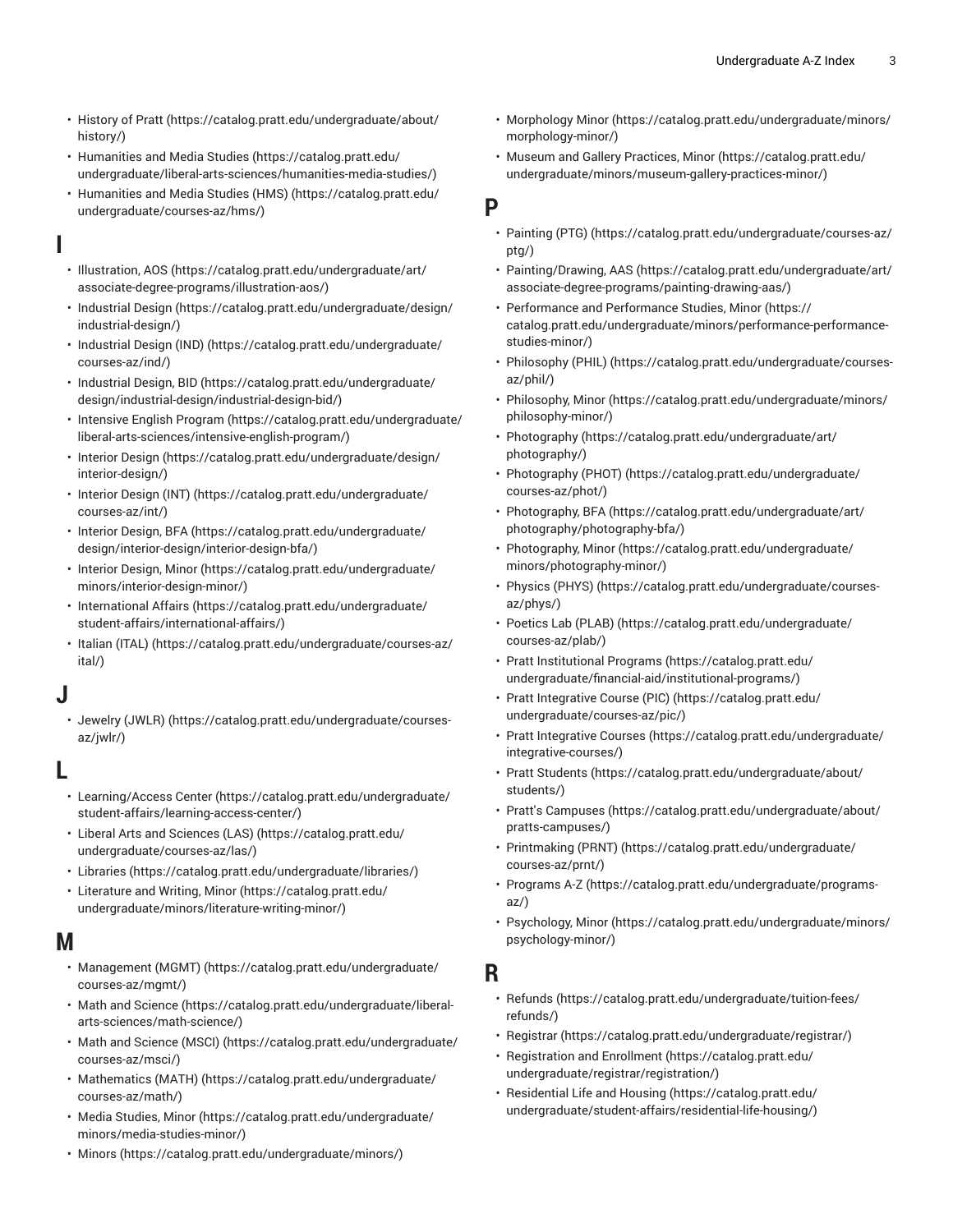- [History](https://catalog.pratt.edu/undergraduate/about/history/) of Pratt ([https://catalog.pratt.edu/undergraduate/about/](https://catalog.pratt.edu/undergraduate/about/history/) [history/](https://catalog.pratt.edu/undergraduate/about/history/))
- [Humanities and Media Studies](https://catalog.pratt.edu/undergraduate/liberal-arts-sciences/humanities-media-studies/) ([https://catalog.pratt.edu/](https://catalog.pratt.edu/undergraduate/liberal-arts-sciences/humanities-media-studies/) [undergraduate/liberal-arts-sciences/humanities-media-studies/](https://catalog.pratt.edu/undergraduate/liberal-arts-sciences/humanities-media-studies/))
- [Humanities and Media Studies \(HMS\)](https://catalog.pratt.edu/undergraduate/courses-az/hms/) ([https://catalog.pratt.edu/](https://catalog.pratt.edu/undergraduate/courses-az/hms/) [undergraduate/courses-az/hms/\)](https://catalog.pratt.edu/undergraduate/courses-az/hms/)

**I**

- [Illustration, AOS](https://catalog.pratt.edu/undergraduate/art/associate-degree-programs/illustration-aos/) ([https://catalog.pratt.edu/undergraduate/art/](https://catalog.pratt.edu/undergraduate/art/associate-degree-programs/illustration-aos/) [associate-degree-programs/illustration-aos/\)](https://catalog.pratt.edu/undergraduate/art/associate-degree-programs/illustration-aos/)
- [Industrial Design \(https://catalog.pratt.edu/undergraduate/design/](https://catalog.pratt.edu/undergraduate/design/industrial-design/) [industrial-design/](https://catalog.pratt.edu/undergraduate/design/industrial-design/))
- [Industrial Design \(IND\)](https://catalog.pratt.edu/undergraduate/courses-az/ind/) ([https://catalog.pratt.edu/undergraduate/](https://catalog.pratt.edu/undergraduate/courses-az/ind/) [courses-az/ind/\)](https://catalog.pratt.edu/undergraduate/courses-az/ind/)
- [Industrial Design, BID](https://catalog.pratt.edu/undergraduate/design/industrial-design/industrial-design-bid/) ([https://catalog.pratt.edu/undergraduate/](https://catalog.pratt.edu/undergraduate/design/industrial-design/industrial-design-bid/) [design/industrial-design/industrial-design-bid/](https://catalog.pratt.edu/undergraduate/design/industrial-design/industrial-design-bid/))
- [Intensive](https://catalog.pratt.edu/undergraduate/liberal-arts-sciences/intensive-english-program/) English Program ([https://catalog.pratt.edu/undergraduate/](https://catalog.pratt.edu/undergraduate/liberal-arts-sciences/intensive-english-program/) [liberal-arts-sciences/intensive-english-program/](https://catalog.pratt.edu/undergraduate/liberal-arts-sciences/intensive-english-program/))
- [Interior Design \(https://catalog.pratt.edu/undergraduate/design/](https://catalog.pratt.edu/undergraduate/design/interior-design/) [interior-design/](https://catalog.pratt.edu/undergraduate/design/interior-design/))
- [Interior](https://catalog.pratt.edu/undergraduate/courses-az/int/) Design (INT) [\(https://catalog.pratt.edu/undergraduate/](https://catalog.pratt.edu/undergraduate/courses-az/int/) [courses-az/int/](https://catalog.pratt.edu/undergraduate/courses-az/int/))
- Interior [Design,](https://catalog.pratt.edu/undergraduate/design/interior-design/interior-design-bfa/) BFA [\(https://catalog.pratt.edu/undergraduate/](https://catalog.pratt.edu/undergraduate/design/interior-design/interior-design-bfa/) [design/interior-design/interior-design-bfa/](https://catalog.pratt.edu/undergraduate/design/interior-design/interior-design-bfa/))
- [Interior Design, Minor](https://catalog.pratt.edu/undergraduate/minors/interior-design-minor/) ([https://catalog.pratt.edu/undergraduate/](https://catalog.pratt.edu/undergraduate/minors/interior-design-minor/) [minors/interior-design-minor/](https://catalog.pratt.edu/undergraduate/minors/interior-design-minor/))
- [International Affairs \(https://catalog.pratt.edu/undergraduate/](https://catalog.pratt.edu/undergraduate/student-affairs/international-affairs/) [student-affairs/international-affairs/](https://catalog.pratt.edu/undergraduate/student-affairs/international-affairs/))
- [Italian](https://catalog.pratt.edu/undergraduate/courses-az/ital/) (ITAL) [\(https://catalog.pratt.edu/undergraduate/courses-az/](https://catalog.pratt.edu/undergraduate/courses-az/ital/) [ital/](https://catalog.pratt.edu/undergraduate/courses-az/ital/))

## **J**

• [Jewelry](https://catalog.pratt.edu/undergraduate/courses-az/jwlr/) (JWLR) ([https://catalog.pratt.edu/undergraduate/courses](https://catalog.pratt.edu/undergraduate/courses-az/jwlr/)[az/jwlr/\)](https://catalog.pratt.edu/undergraduate/courses-az/jwlr/)

## **L**

- [Learning/Access Center](https://catalog.pratt.edu/undergraduate/student-affairs/learning-access-center/) [\(https://catalog.pratt.edu/undergraduate/](https://catalog.pratt.edu/undergraduate/student-affairs/learning-access-center/) [student-affairs/learning-access-center/](https://catalog.pratt.edu/undergraduate/student-affairs/learning-access-center/))
- Liberal Arts and [Sciences](https://catalog.pratt.edu/undergraduate/courses-az/las/) (LAS) ([https://catalog.pratt.edu/](https://catalog.pratt.edu/undergraduate/courses-az/las/) [undergraduate/courses-az/las/](https://catalog.pratt.edu/undergraduate/courses-az/las/))
- [Libraries](https://catalog.pratt.edu/undergraduate/libraries/) (<https://catalog.pratt.edu/undergraduate/libraries/>)
- [Literature](https://catalog.pratt.edu/undergraduate/minors/literature-writing-minor/) and Writing, Minor ([https://catalog.pratt.edu/](https://catalog.pratt.edu/undergraduate/minors/literature-writing-minor/) [undergraduate/minors/literature-writing-minor/\)](https://catalog.pratt.edu/undergraduate/minors/literature-writing-minor/)

### **M**

- [Management](https://catalog.pratt.edu/undergraduate/courses-az/mgmt/) (MGMT) ([https://catalog.pratt.edu/undergraduate/](https://catalog.pratt.edu/undergraduate/courses-az/mgmt/) [courses-az/mgmt/](https://catalog.pratt.edu/undergraduate/courses-az/mgmt/))
- [Math and Science \(https://catalog.pratt.edu/undergraduate/liberal](https://catalog.pratt.edu/undergraduate/liberal-arts-sciences/math-science/)[arts-sciences/math-science/](https://catalog.pratt.edu/undergraduate/liberal-arts-sciences/math-science/))
- [Math and Science \(MSCI\)](https://catalog.pratt.edu/undergraduate/courses-az/msci/) ([https://catalog.pratt.edu/undergraduate/](https://catalog.pratt.edu/undergraduate/courses-az/msci/) [courses-az/msci/](https://catalog.pratt.edu/undergraduate/courses-az/msci/))
- [Mathematics](https://catalog.pratt.edu/undergraduate/courses-az/math/) (MATH) [\(https://catalog.pratt.edu/undergraduate/](https://catalog.pratt.edu/undergraduate/courses-az/math/) [courses-az/math/\)](https://catalog.pratt.edu/undergraduate/courses-az/math/)
- [Media Studies, Minor \(https://catalog.pratt.edu/undergraduate/](https://catalog.pratt.edu/undergraduate/minors/media-studies-minor/) [minors/media-studies-minor/](https://catalog.pratt.edu/undergraduate/minors/media-studies-minor/))
- [Minors](https://catalog.pratt.edu/undergraduate/minors/) (<https://catalog.pratt.edu/undergraduate/minors/>)
- [Morphology Minor](https://catalog.pratt.edu/undergraduate/minors/morphology-minor/) ([https://catalog.pratt.edu/undergraduate/minors/](https://catalog.pratt.edu/undergraduate/minors/morphology-minor/) [morphology-minor/\)](https://catalog.pratt.edu/undergraduate/minors/morphology-minor/)
- Museum and Gallery [Practices,](https://catalog.pratt.edu/undergraduate/minors/museum-gallery-practices-minor/) Minor [\(https://catalog.pratt.edu/](https://catalog.pratt.edu/undergraduate/minors/museum-gallery-practices-minor/) [undergraduate/minors/museum-gallery-practices-minor/](https://catalog.pratt.edu/undergraduate/minors/museum-gallery-practices-minor/))

## **P**

- [Painting](https://catalog.pratt.edu/undergraduate/courses-az/ptg/) (PTG) [\(https://catalog.pratt.edu/undergraduate/courses-az/](https://catalog.pratt.edu/undergraduate/courses-az/ptg/) [ptg/\)](https://catalog.pratt.edu/undergraduate/courses-az/ptg/)
- [Painting/Drawing,](https://catalog.pratt.edu/undergraduate/art/associate-degree-programs/painting-drawing-aas/) AAS ([https://catalog.pratt.edu/undergraduate/art/](https://catalog.pratt.edu/undergraduate/art/associate-degree-programs/painting-drawing-aas/) [associate-degree-programs/painting-drawing-aas/\)](https://catalog.pratt.edu/undergraduate/art/associate-degree-programs/painting-drawing-aas/)
- [Performance](https://catalog.pratt.edu/undergraduate/minors/performance-performance-studies-minor/) and Performance Studies, Minor [\(https://](https://catalog.pratt.edu/undergraduate/minors/performance-performance-studies-minor/) [catalog.pratt.edu/undergraduate/minors/performance-performance](https://catalog.pratt.edu/undergraduate/minors/performance-performance-studies-minor/)[studies-minor/](https://catalog.pratt.edu/undergraduate/minors/performance-performance-studies-minor/))
- [Philosophy \(PHIL\)](https://catalog.pratt.edu/undergraduate/courses-az/phil/) ([https://catalog.pratt.edu/undergraduate/courses](https://catalog.pratt.edu/undergraduate/courses-az/phil/)[az/phil/\)](https://catalog.pratt.edu/undergraduate/courses-az/phil/)
- [Philosophy,](https://catalog.pratt.edu/undergraduate/minors/philosophy-minor/) Minor ([https://catalog.pratt.edu/undergraduate/minors/](https://catalog.pratt.edu/undergraduate/minors/philosophy-minor/) [philosophy-minor/](https://catalog.pratt.edu/undergraduate/minors/philosophy-minor/))
- [Photography \(https://catalog.pratt.edu/undergraduate/art/](https://catalog.pratt.edu/undergraduate/art/photography/) [photography/](https://catalog.pratt.edu/undergraduate/art/photography/))
- [Photography](https://catalog.pratt.edu/undergraduate/courses-az/phot/) (PHOT) [\(https://catalog.pratt.edu/undergraduate/](https://catalog.pratt.edu/undergraduate/courses-az/phot/) [courses-az/phot/\)](https://catalog.pratt.edu/undergraduate/courses-az/phot/)
- [Photography,](https://catalog.pratt.edu/undergraduate/art/photography/photography-bfa/) BFA ([https://catalog.pratt.edu/undergraduate/art/](https://catalog.pratt.edu/undergraduate/art/photography/photography-bfa/) [photography/photography-bfa/](https://catalog.pratt.edu/undergraduate/art/photography/photography-bfa/))
- [Photography,](https://catalog.pratt.edu/undergraduate/minors/photography-minor/) Minor [\(https://catalog.pratt.edu/undergraduate/](https://catalog.pratt.edu/undergraduate/minors/photography-minor/) [minors/photography-minor/\)](https://catalog.pratt.edu/undergraduate/minors/photography-minor/)
- [Physics](https://catalog.pratt.edu/undergraduate/courses-az/phys/) (PHYS) [\(https://catalog.pratt.edu/undergraduate/courses](https://catalog.pratt.edu/undergraduate/courses-az/phys/)[az/phys/\)](https://catalog.pratt.edu/undergraduate/courses-az/phys/)
- [Poetics](https://catalog.pratt.edu/undergraduate/courses-az/plab/) Lab (PLAB) [\(https://catalog.pratt.edu/undergraduate/](https://catalog.pratt.edu/undergraduate/courses-az/plab/) [courses-az/plab/\)](https://catalog.pratt.edu/undergraduate/courses-az/plab/)
- Pratt [Institutional](https://catalog.pratt.edu/undergraduate/financial-aid/institutional-programs/) Programs [\(https://catalog.pratt.edu/](https://catalog.pratt.edu/undergraduate/financial-aid/institutional-programs/) [undergraduate/financial-aid/institutional-programs/\)](https://catalog.pratt.edu/undergraduate/financial-aid/institutional-programs/)
- Pratt [Integrative](https://catalog.pratt.edu/undergraduate/courses-az/pic/) Course (PIC) [\(https://catalog.pratt.edu/](https://catalog.pratt.edu/undergraduate/courses-az/pic/) [undergraduate/courses-az/pic/](https://catalog.pratt.edu/undergraduate/courses-az/pic/))
- Pratt [Integrative](https://catalog.pratt.edu/undergraduate/integrative-courses/) Courses ([https://catalog.pratt.edu/undergraduate/](https://catalog.pratt.edu/undergraduate/integrative-courses/) [integrative-courses/\)](https://catalog.pratt.edu/undergraduate/integrative-courses/)
- [Pratt Students \(https://catalog.pratt.edu/undergraduate/about/](https://catalog.pratt.edu/undergraduate/about/students/) [students/](https://catalog.pratt.edu/undergraduate/about/students/))
- [Pratt's Campuses \(https://catalog.pratt.edu/undergraduate/about/](https://catalog.pratt.edu/undergraduate/about/pratts-campuses/) [pratts-campuses/\)](https://catalog.pratt.edu/undergraduate/about/pratts-campuses/)
- [Printmaking](https://catalog.pratt.edu/undergraduate/courses-az/prnt/) (PRNT) ([https://catalog.pratt.edu/undergraduate/](https://catalog.pratt.edu/undergraduate/courses-az/prnt/) [courses-az/prnt/\)](https://catalog.pratt.edu/undergraduate/courses-az/prnt/)
- [Programs](https://catalog.pratt.edu/undergraduate/programs-az/) A-Z [\(https://catalog.pratt.edu/undergraduate/programs](https://catalog.pratt.edu/undergraduate/programs-az/)[az/](https://catalog.pratt.edu/undergraduate/programs-az/))
- [Psychology,](https://catalog.pratt.edu/undergraduate/minors/psychology-minor/) Minor ([https://catalog.pratt.edu/undergraduate/minors/](https://catalog.pratt.edu/undergraduate/minors/psychology-minor/) [psychology-minor/\)](https://catalog.pratt.edu/undergraduate/minors/psychology-minor/)

## **R**

- [Refunds](https://catalog.pratt.edu/undergraduate/tuition-fees/refunds/) [\(https://catalog.pratt.edu/undergraduate/tuition-fees/](https://catalog.pratt.edu/undergraduate/tuition-fees/refunds/) [refunds/](https://catalog.pratt.edu/undergraduate/tuition-fees/refunds/))
- [Registrar](https://catalog.pratt.edu/undergraduate/registrar/) ([https://catalog.pratt.edu/undergraduate/registrar/\)](https://catalog.pratt.edu/undergraduate/registrar/)
- [Registration](https://catalog.pratt.edu/undergraduate/registrar/registration/) and Enrollment [\(https://catalog.pratt.edu/](https://catalog.pratt.edu/undergraduate/registrar/registration/) [undergraduate/registrar/registration/\)](https://catalog.pratt.edu/undergraduate/registrar/registration/)
- [Residential](https://catalog.pratt.edu/undergraduate/student-affairs/residential-life-housing/) Life and Housing ([https://catalog.pratt.edu/](https://catalog.pratt.edu/undergraduate/student-affairs/residential-life-housing/) [undergraduate/student-affairs/residential-life-housing/\)](https://catalog.pratt.edu/undergraduate/student-affairs/residential-life-housing/)